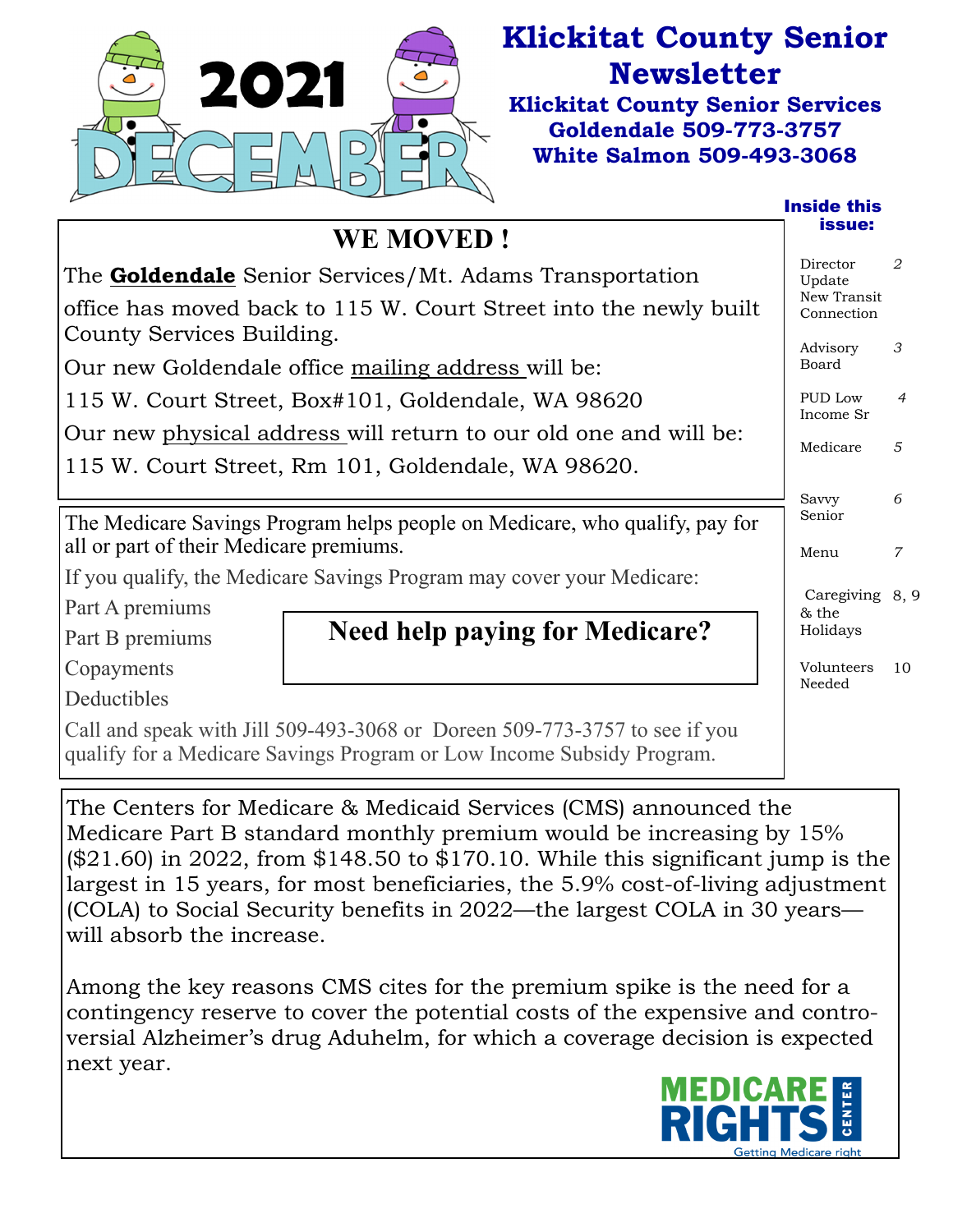

# **Klickitat County Senior Newsletter**

**Klickitat County Senior Services Goldendale 509-773-3757 White Salmon 509-493-3068** 

|                                                                                                                        |                                                                            | <b>Inside this</b>       |                |
|------------------------------------------------------------------------------------------------------------------------|----------------------------------------------------------------------------|--------------------------|----------------|
|                                                                                                                        | <i>issue:</i>                                                              |                          |                |
| The <b>Goldendale</b> Senior Services/Mt. Adams Transportation                                                         | Director<br>Update                                                         | 2                        |                |
| office has moved back to 115 W. Court Street into the newly built<br>County Services Building.                         | New Transit<br>Connection                                                  |                          |                |
| Our new Goldendale office mailing address will be:                                                                     | Advisory<br>Board                                                          | 3                        |                |
| 115 W. Court Street, Box#101, Goldendale, WA 98620                                                                     |                                                                            |                          | $\overline{4}$ |
| Our new physical address will return to our old one and will be:<br>115 W. Court Street, Rm 101, Goldendale, WA 98620. |                                                                            |                          | 5              |
|                                                                                                                        | Savvy                                                                      | 6                        |                |
| The Medicare Savings Program helps people on Medicare, who qualify, pay for<br>all or part of their Medicare premiums. |                                                                            |                          | 7              |
| If you qualify, the Medicare Savings Program may cover your Medicare:                                                  |                                                                            |                          |                |
| Part A premiums                                                                                                        |                                                                            | Caregiving 8, 9<br>& the |                |
| Part B premiums                                                                                                        | <b>Need help paying for Medicare?</b>                                      | Holidays                 |                |
| Copayments                                                                                                             |                                                                            | Volunteers<br>Needed     | 10             |
| Deductibles                                                                                                            |                                                                            |                          |                |
|                                                                                                                        | Call and speak with Jill 509-493-3068 or Doreen 509-773-3757 to see if you |                          |                |

qualify for a Medicare Savings Program or Low Income Subsidy Program.

The Centers for Medicare & Medicaid Services (CMS) announced the Medicare Part B standard monthly premium would be increasing by 15%  $(\$21.60)$  in 2022, from \$148.50 to \$170.10. While this significant jump is the largest in 15 years, for most beneficiaries, the 5.9% cost-of-living adjustment (COLA) to Social Security benefits in 2022—the largest COLA in 30 years will absorb the increase.

Among the key reasons CMS cites for the premium spike is the need for a contingency reserve to cover the potential costs of the expensive and controversial Alzheimer's drug Aduhelm, for which a coverage decision is expected next year.

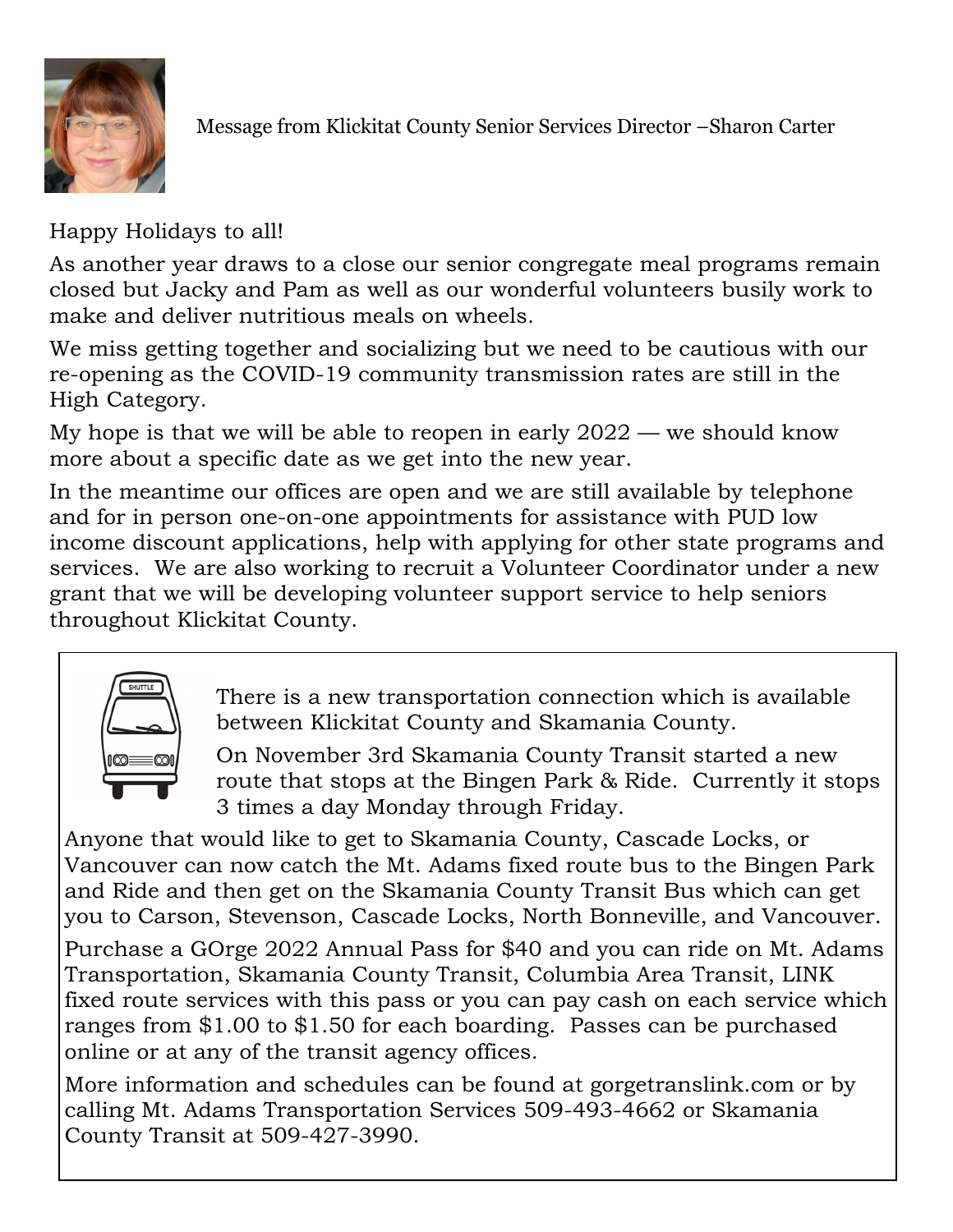

Message from Klickitat County Senior Services Director –Sharon Carter

# Happy Holidays to all!

As another year draws to a close our senior congregate meal programs remain closed but Jacky and Pam as well as our wonderful volunteers busily work to make and deliver nutritious meals on wheels.

We miss getting together and socializing but we need to be cautious with our re-opening as the COVID-19 community transmission rates are still in the High Category.

My hope is that we will be able to reopen in early  $2022$  — we should know more about a specific date as we get into the new year.

In the meantime our offices are open and we are still available by telephone and for in person one-on-one appointments for assistance with PUD low income discount applications, help with applying for other state programs and services. We are also working to recruit a Volunteer Coordinator under a new grant that we will be developing volunteer support service to help seniors throughout Klickitat County.



There is a new transportation connection which is available between Klickitat County and Skamania County.

On November 3rd Skamania County Transit started a new route that stops at the Bingen Park & Ride. Currently it stops 3 times a day Monday through Friday.

Anyone that would like to get to Skamania County, Cascade Locks, or Vancouver can now catch the Mt. Adams fixed route bus to the Bingen Park and Ride and then get on the Skamania County Transit Bus which can get you to Carson, Stevenson, Cascade Locks, North Bonneville, and Vancouver.

Purchase a GOrge 2022 Annual Pass for \$40 and you can ride on Mt. Adams Transportation, Skamania County Transit, Columbia Area Transit, LINK fixed route services with this pass or you can pay cash on each service which ranges from \$1.00 to \$1.50 for each boarding. Passes can be purchased online or at any of the transit agency offices.

More information and schedules can be found at gorgetranslink.com or by calling Mt. Adams Transportation Services 509-493-4662 or Skamania County Transit at 509-427-3990.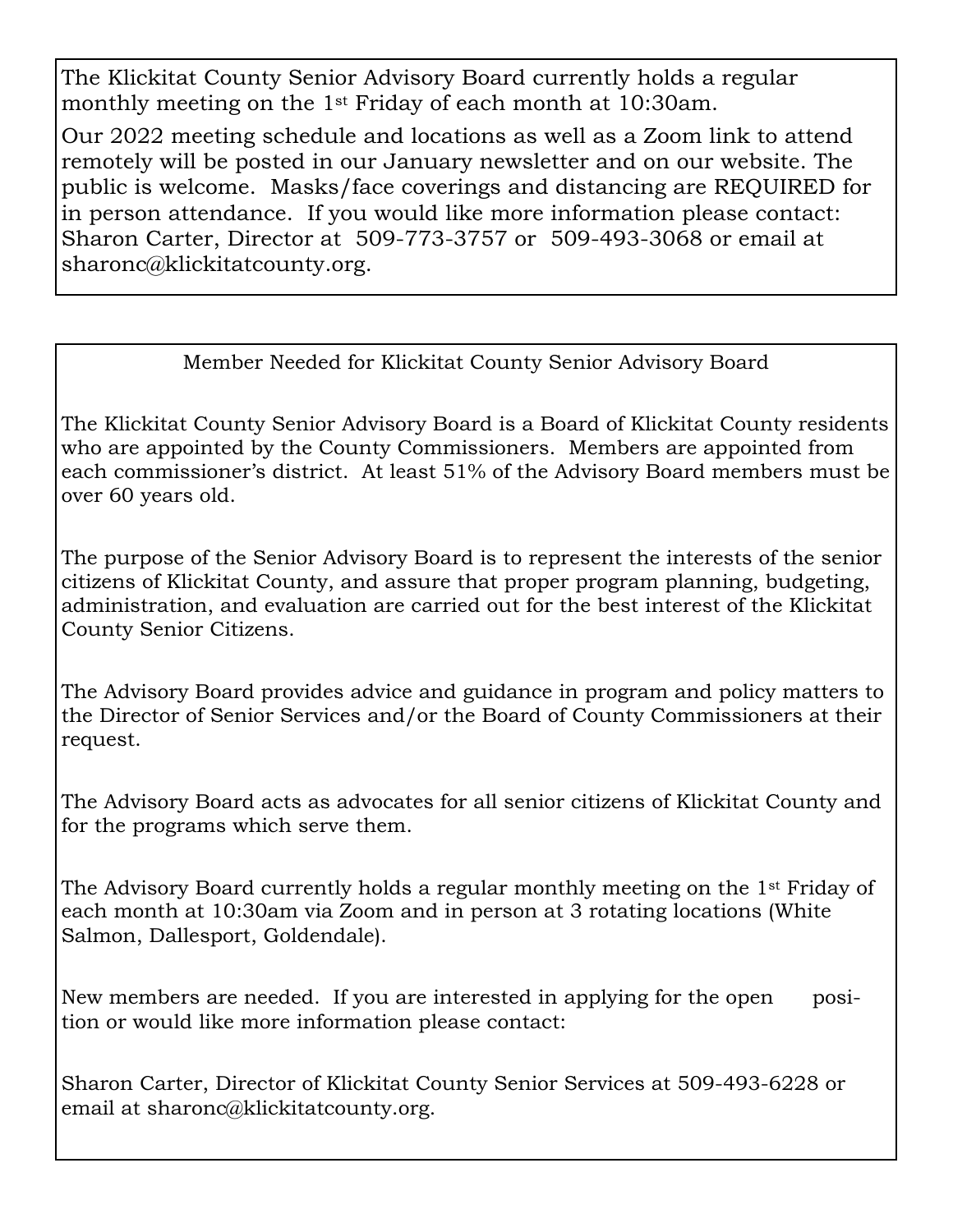The Klickitat County Senior Advisory Board currently holds a regular monthly meeting on the 1st Friday of each month at 10:30am.

Our 2022 meeting schedule and locations as well as a Zoom link to attend remotely will be posted in our January newsletter and on our website. The public is welcome. Masks/face coverings and distancing are REQUIRED for in person attendance. If you would like more information please contact: Sharon Carter, Director at 509-773-3757 or 509-493-3068 or email at sharonc@klickitatcounty.org.

## Member Needed for Klickitat County Senior Advisory Board

The Klickitat County Senior Advisory Board is a Board of Klickitat County residents who are appointed by the County Commissioners. Members are appointed from each commissioner's district. At least 51% of the Advisory Board members must be over 60 years old.

The purpose of the Senior Advisory Board is to represent the interests of the senior citizens of Klickitat County, and assure that proper program planning, budgeting, administration, and evaluation are carried out for the best interest of the Klickitat County Senior Citizens.

The Advisory Board provides advice and guidance in program and policy matters to the Director of Senior Services and/or the Board of County Commissioners at their request.

The Advisory Board acts as advocates for all senior citizens of Klickitat County and for the programs which serve them.

The Advisory Board currently holds a regular monthly meeting on the 1st Friday of each month at 10:30am via Zoom and in person at 3 rotating locations (White Salmon, Dallesport, Goldendale).

New members are needed. If you are interested in applying for the open position or would like more information please contact:

Sharon Carter, Director of Klickitat County Senior Services at 509-493-6228 or email at sharonc@klickitatcounty.org.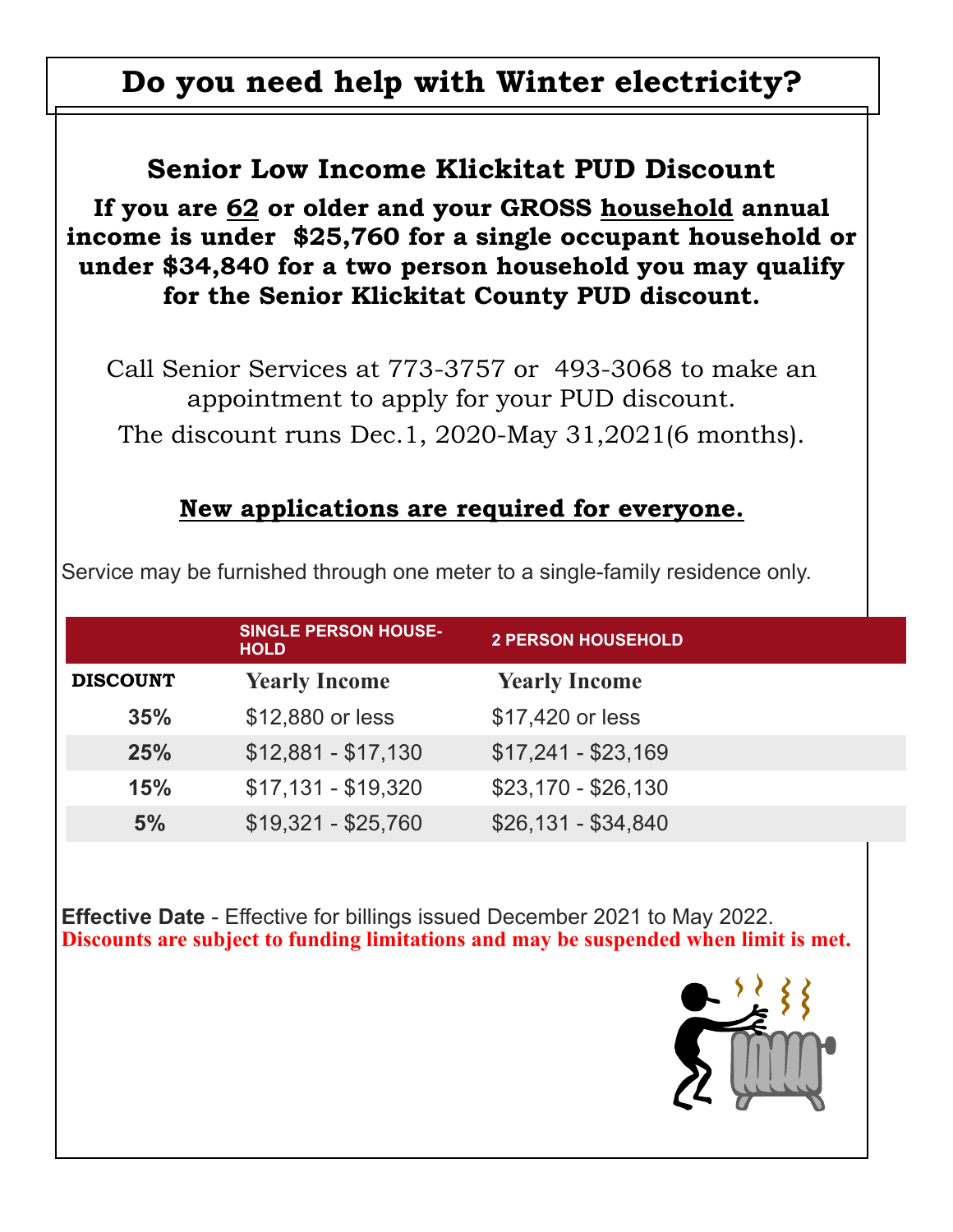# **Do you need help with Winter electricity?**

# **Senior Low Income Klickitat PUD Discount**

**If you are 62 or older and your GROSS household annual income is under \$25,760 for a single occupant household or under \$34,840 for a two person household you may qualify for the Senior Klickitat County PUD discount.** 

Call Senior Services at 773-3757 or 493-3068 to make an appointment to apply for your PUD discount. The discount runs Dec.1, 2020-May 31,2021(6 months).

## **New applications are required for everyone.**

Service may be furnished through one meter to a single-family residence only.

|                 | <b>SINGLE PERSON HOUSE-</b><br><b>HOLD</b> | <b>2 PERSON HOUSEHOLD</b> |  |
|-----------------|--------------------------------------------|---------------------------|--|
| <b>DISCOUNT</b> | <b>Yearly Income</b>                       | <b>Yearly Income</b>      |  |
| 35%             | \$12,880 or less                           | \$17,420 or less          |  |
| 25%             | $$12,881 - $17,130$                        | $$17,241 - $23,169$       |  |
| 15%             | $$17,131 - $19,320$                        | $$23,170 - $26,130$       |  |
| 5%              | $$19,321 - $25,760$                        | $$26,131 - $34,840$       |  |

**Effective Date** - Effective for billings issued December 2021 to May 2022. **Discounts are subject to funding limitations and may be suspended when limit is met.** 

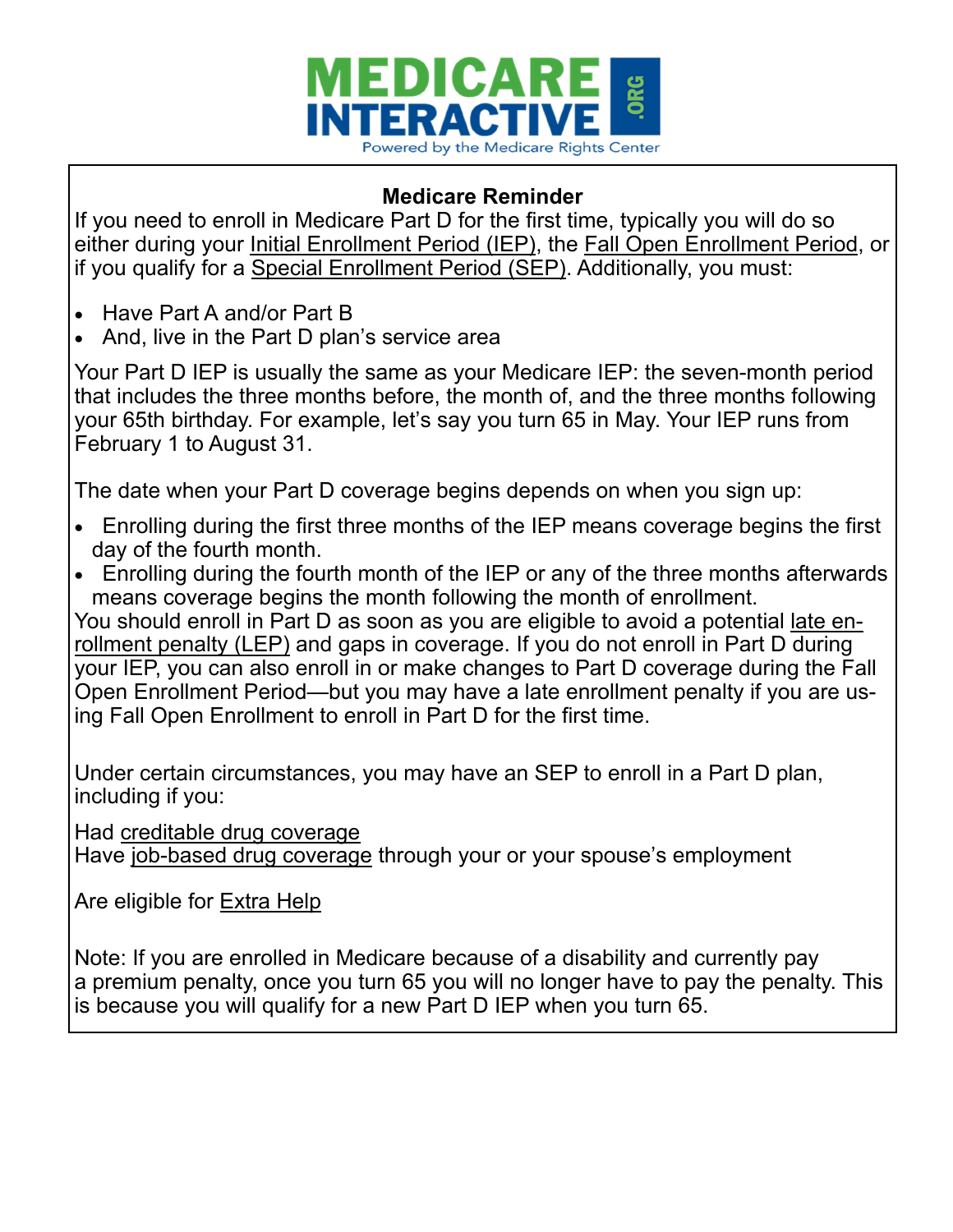

## **Medicare Reminder**

If you need to enroll in Medicare Part D for the first time, typically you will do so either during your *Initial Enrollment Period (IEP)*, the Fall Open Enrollment Period, or if you qualify for a Special Enrollment Period (SEP). Additionally, you must:

- Have Part A and/or Part B
- And, live in the Part D plan's service area

Your Part D IEP is usually the same as your Medicare IEP: the seven-month period that includes the three months before, the month of, and the three months following your 65th birthday. For example, let's say you turn 65 in May. Your IEP runs from February 1 to August 31.

The date when your Part D coverage begins depends on when you sign up:

- Enrolling during the first three months of the IEP means coverage begins the first day of the fourth month.
- Enrolling during the fourth month of the IEP or any of the three months afterwards means coverage begins the month following the month of enrollment.

You should enroll in Part D as soon as you are eligible to avoid a potential late enrollment penalty (LEP) and gaps in coverage. If you do not enroll in Part D during your IEP, you can also enroll in or make changes to Part D coverage during the Fall Open Enrollment Period—but you may have a late enrollment penalty if you are using Fall Open Enrollment to enroll in Part D for the first time.

Under certain circumstances, you may have an SEP to enroll in a Part D plan, including if you:

Had creditable drug coverage Have job-based drug coverage through your or your spouse's employment

Are eligible for Extra Help

Note: If you are enrolled in Medicare because of a disability and currently pay a premium penalty, once you turn 65 you will no longer have to pay the penalty. This is because you will qualify for a new Part D IEP when you turn 65.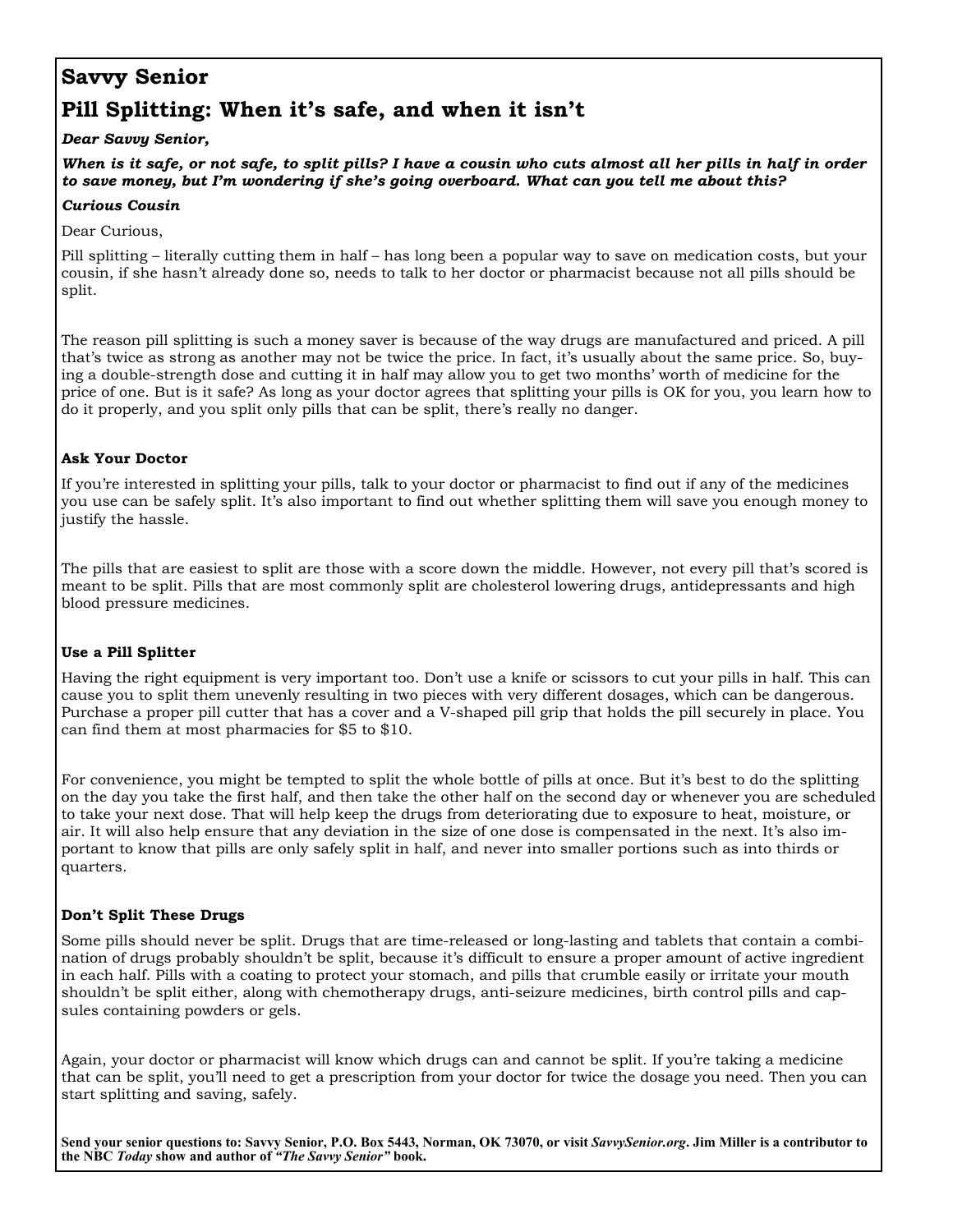## **Savvy Senior Pill Splitting: When it's safe, and when it isn't**

#### *Dear Savvy Senior,*

#### *When is it safe, or not safe, to split pills? I have a cousin who cuts almost all her pills in half in order to save money, but I'm wondering if she's going overboard. What can you tell me about this?*

#### *Curious Cousin*

#### Dear Curious,

Pill splitting – literally cutting them in half – has long been a popular way to save on medication costs, but your cousin, if she hasn't already done so, needs to talk to her doctor or pharmacist because not all pills should be split.

The reason pill splitting is such a money saver is because of the way drugs are manufactured and priced. A pill that's twice as strong as another may not be twice the price. In fact, it's usually about the same price. So, buying a double-strength dose and cutting it in half may allow you to get two months' worth of medicine for the price of one. But is it safe? As long as your doctor agrees that splitting your pills is OK for you, you learn how to do it properly, and you split only pills that can be split, there's really no danger.

#### **Ask Your Doctor**

If you're interested in splitting your pills, talk to your doctor or pharmacist to find out if any of the medicines you use can be safely split. It's also important to find out whether splitting them will save you enough money to justify the hassle.

The pills that are easiest to split are those with a score down the middle. However, not every pill that's scored is meant to be split. Pills that are most commonly split are cholesterol lowering drugs, antidepressants and high blood pressure medicines.

#### **Use a Pill Splitter**

Having the right equipment is very important too. Don't use a knife or scissors to cut your pills in half. This can cause you to split them unevenly resulting in two pieces with very different dosages, which can be dangerous. Purchase a proper pill cutter that has a cover and a V-shaped pill grip that holds the pill securely in place. You can find them at most pharmacies for \$5 to \$10.

For convenience, you might be tempted to split the whole bottle of pills at once. But it's best to do the splitting on the day you take the first half, and then take the other half on the second day or whenever you are scheduled to take your next dose. That will help keep the drugs from deteriorating due to exposure to heat, moisture, or air. It will also help ensure that any deviation in the size of one dose is compensated in the next. It's also important to know that pills are only safely split in half, and never into smaller portions such as into thirds or quarters.

#### **Don't Split These Drugs**

Some pills should never be split. Drugs that are time-released or long-lasting and tablets that contain a combination of drugs probably shouldn't be split, because it's difficult to ensure a proper amount of active ingredient in each half. Pills with a coating to protect your stomach, and pills that crumble easily or irritate your mouth shouldn't be split either, along with chemotherapy drugs, anti-seizure medicines, birth control pills and capsules containing powders or gels.

Again, your doctor or pharmacist will know which drugs can and cannot be split. If you're taking a medicine that can be split, you'll need to get a prescription from your doctor for twice the dosage you need. Then you can start splitting and saving, safely.

**Send your senior questions to: Savvy Senior, P.O. Box 5443, Norman, OK 73070, or visit** *SavvySenior.org***. Jim Miller is a contributor to the NBC** *Today* **show and author of** *"The Savvy Senior"* **book.**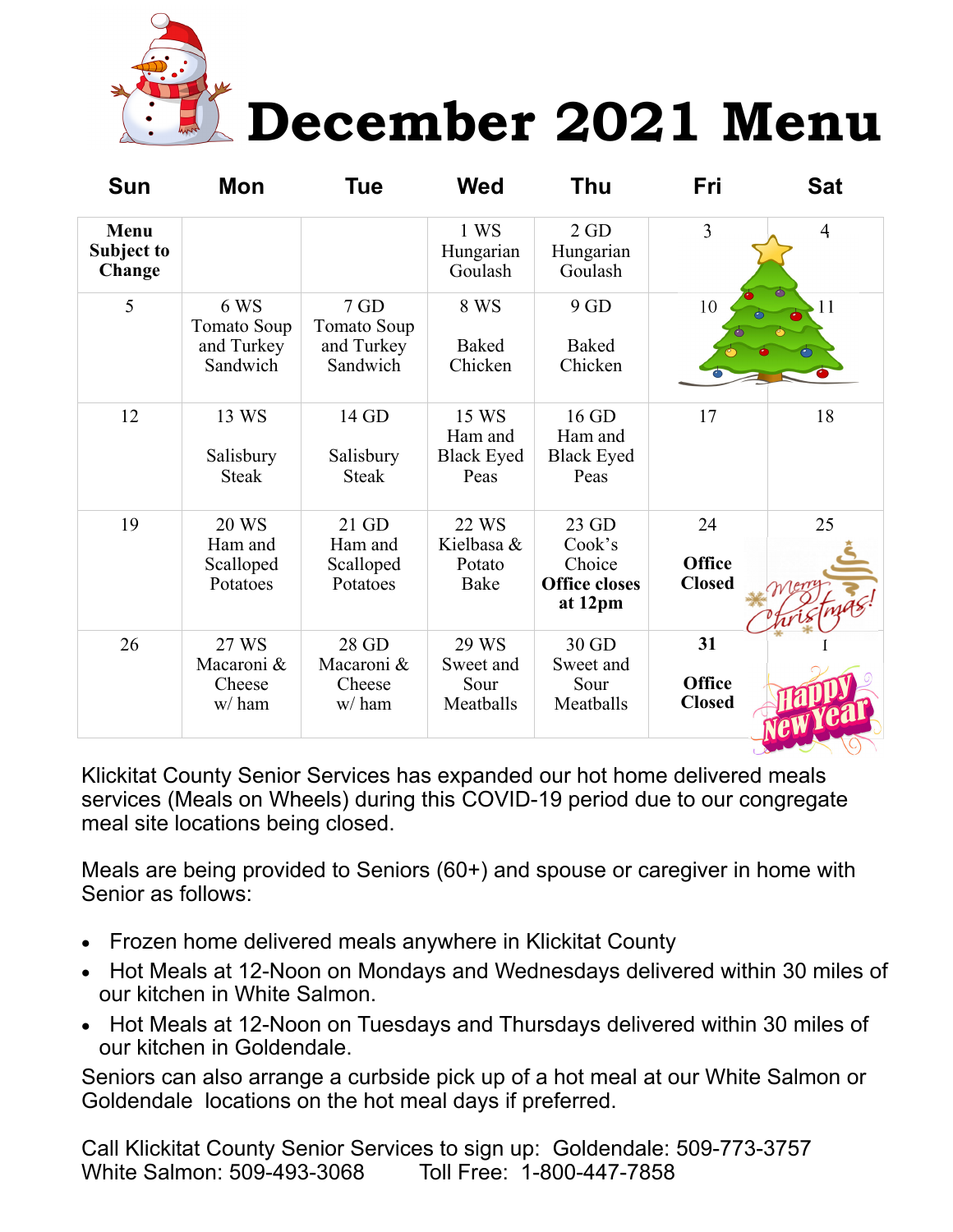

| <b>Sun</b>                          | <b>Mon</b>                                       | <b>Tue</b>                                      | <b>Wed</b>                                    | <b>Thu</b>                                                   | Fri                                  | <b>Sat</b>     |
|-------------------------------------|--------------------------------------------------|-------------------------------------------------|-----------------------------------------------|--------------------------------------------------------------|--------------------------------------|----------------|
| Menu<br><b>Subject to</b><br>Change |                                                  |                                                 | 1 WS<br>Hungarian<br>Goulash                  | 2GD<br>Hungarian<br>Goulash                                  | $\overline{3}$                       | $\overline{4}$ |
| 5                                   | 6 WS<br>Tomato Soup<br>and Turkey<br>Sandwich    | 7GD<br>Tomato Soup<br>and Turkey<br>Sandwich    | 8 WS<br><b>Baked</b><br>Chicken               | 9GD<br><b>Baked</b><br>Chicken                               | 10                                   | 11             |
| 12                                  | 13 WS<br>Salisbury<br><b>Steak</b>               | 14 GD<br>Salisbury<br><b>Steak</b>              | 15 WS<br>Ham and<br><b>Black Eyed</b><br>Peas | 16 GD<br>Ham and<br><b>Black Eyed</b><br>Peas                | 17                                   | 18             |
| 19                                  | <b>20 WS</b><br>Ham and<br>Scalloped<br>Potatoes | 21 GD<br>Ham and<br>Scalloped<br>Potatoes       | 22 WS<br>Kielbasa &<br>Potato<br>Bake         | 23 GD<br>Cook's<br>Choice<br><b>Office closes</b><br>at 12pm | 24<br><b>Office</b><br><b>Closed</b> | 25             |
| 26                                  | 27 WS<br>Macaroni &<br>Cheese<br>w/ham           | 28 GD<br>Macaroni &<br>Cheese<br>$w/\text{ham}$ | 29 WS<br>Sweet and<br>Sour<br>Meatballs       | 30 GD<br>Sweet and<br>Sour<br>Meatballs                      | 31<br><b>Office</b><br><b>Closed</b> | New Yea        |

Klickitat County Senior Services has expanded our hot home delivered meals services (Meals on Wheels) during this COVID-19 period due to our congregate meal site locations being closed.

Meals are being provided to Seniors (60+) and spouse or caregiver in home with Senior as follows:

- Frozen home delivered meals anywhere in Klickitat County
- Hot Meals at 12-Noon on Mondays and Wednesdays delivered within 30 miles of our kitchen in White Salmon.
- Hot Meals at 12-Noon on Tuesdays and Thursdays delivered within 30 miles of our kitchen in Goldendale.

Seniors can also arrange a curbside pick up of a hot meal at our White Salmon or Goldendale locations on the hot meal days if preferred.

Call Klickitat County Senior Services to sign up: Goldendale: 509-773-3757 White Salmon: 509-493-3068 Toll Free: 1-800-447-7858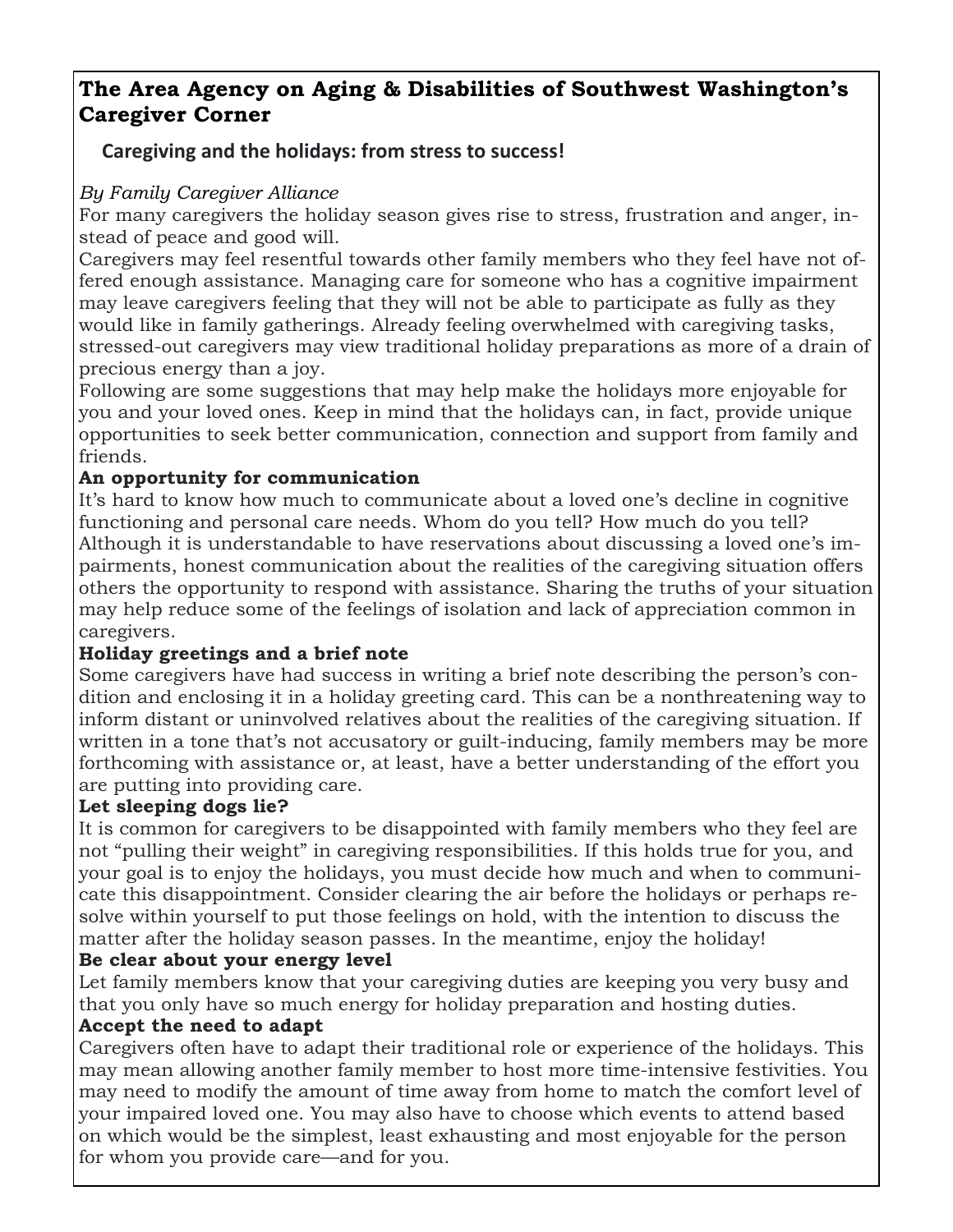## **The Area Agency on Aging & Disabilities of Southwest Washington's Caregiver Corner**

## **Caregiving and the holidays: from stress to success!**

## *By Family Caregiver Alliance*

For many caregivers the holiday season gives rise to stress, frustration and anger, instead of peace and good will.

Caregivers may feel resentful towards other family members who they feel have not offered enough assistance. Managing care for someone who has a cognitive impairment may leave caregivers feeling that they will not be able to participate as fully as they would like in family gatherings. Already feeling overwhelmed with caregiving tasks, stressed-out caregivers may view traditional holiday preparations as more of a drain of precious energy than a joy.

Following are some suggestions that may help make the holidays more enjoyable for you and your loved ones. Keep in mind that the holidays can, in fact, provide unique opportunities to seek better communication, connection and support from family and friends.

#### **An opportunity for communication**

It's hard to know how much to communicate about a loved one's decline in cognitive functioning and personal care needs. Whom do you tell? How much do you tell? Although it is understandable to have reservations about discussing a loved one's impairments, honest communication about the realities of the caregiving situation offers others the opportunity to respond with assistance. Sharing the truths of your situation may help reduce some of the feelings of isolation and lack of appreciation common in caregivers.

#### **Holiday greetings and a brief note**

Some caregivers have had success in writing a brief note describing the person's condition and enclosing it in a holiday greeting card. This can be a nonthreatening way to inform distant or uninvolved relatives about the realities of the caregiving situation. If written in a tone that's not accusatory or guilt-inducing, family members may be more forthcoming with assistance or, at least, have a better understanding of the effort you are putting into providing care.

#### **Let sleeping dogs lie?**

It is common for caregivers to be disappointed with family members who they feel are not "pulling their weight" in caregiving responsibilities. If this holds true for you, and your goal is to enjoy the holidays, you must decide how much and when to communicate this disappointment. Consider clearing the air before the holidays or perhaps resolve within yourself to put those feelings on hold, with the intention to discuss the matter after the holiday season passes. In the meantime, enjoy the holiday!

#### **Be clear about your energy level**

Let family members know that your caregiving duties are keeping you very busy and that you only have so much energy for holiday preparation and hosting duties.

#### **Accept the need to adapt**

Caregivers often have to adapt their traditional role or experience of the holidays. This may mean allowing another family member to host more time-intensive festivities. You may need to modify the amount of time away from home to match the comfort level of your impaired loved one. You may also have to choose which events to attend based on which would be the simplest, least exhausting and most enjoyable for the person for whom you provide care—and for you.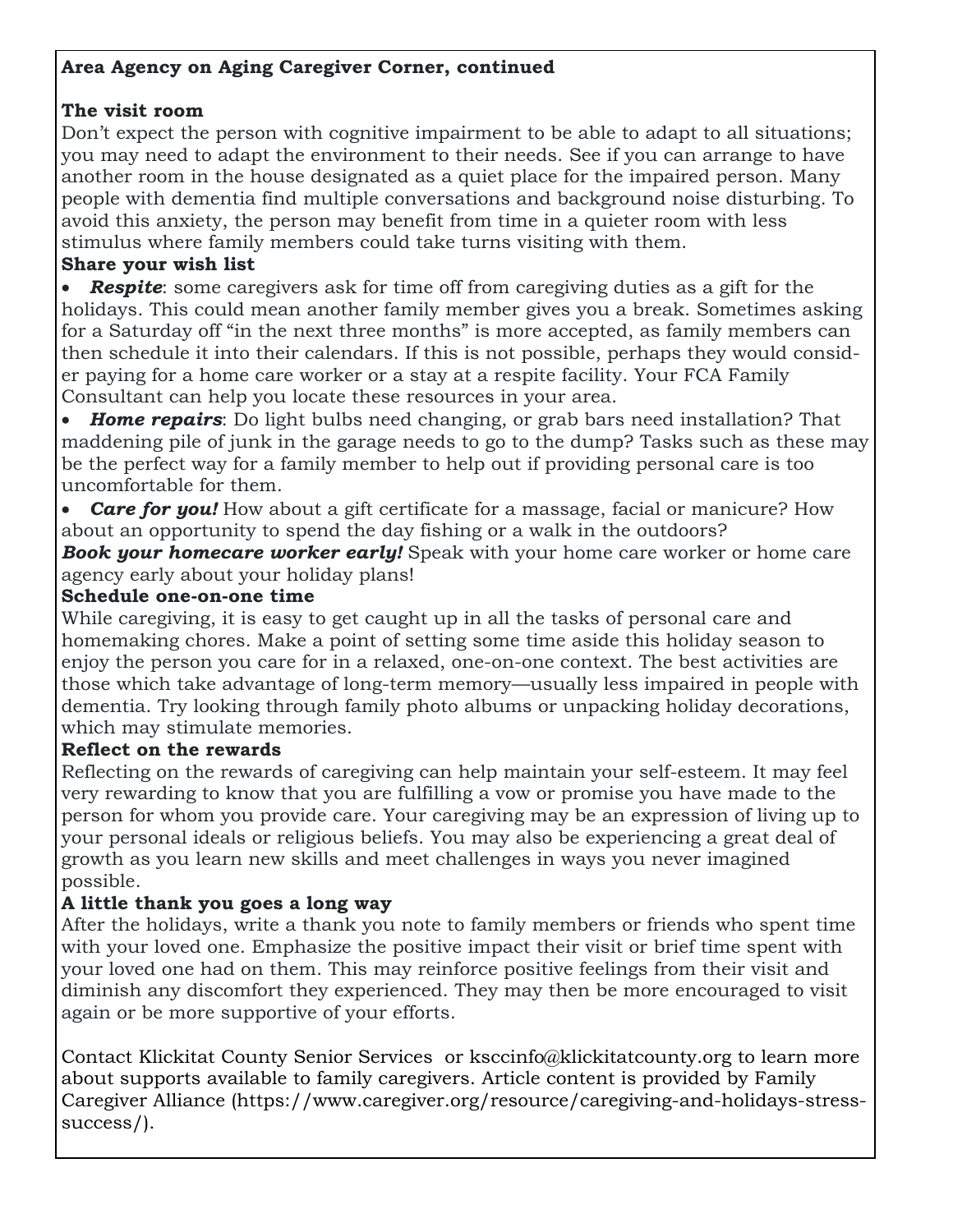## **Area Agency on Aging Caregiver Corner, continued**

#### **The visit room**

Don't expect the person with cognitive impairment to be able to adapt to all situations; you may need to adapt the environment to their needs. See if you can arrange to have another room in the house designated as a quiet place for the impaired person. Many people with dementia find multiple conversations and background noise disturbing. To avoid this anxiety, the person may benefit from time in a quieter room with less stimulus where family members could take turns visiting with them.

## **Share your wish list**

 *Respite*: some caregivers ask for time off from caregiving duties as a gift for the holidays. This could mean another family member gives you a break. Sometimes asking for a Saturday off "in the next three months" is more accepted, as family members can then schedule it into their calendars. If this is not possible, perhaps they would consider paying for a home care worker or a stay at a respite facility. Your FCA Family Consultant can help you locate these resources in your area.

 *Home repairs*: Do light bulbs need changing, or grab bars need installation? That maddening pile of junk in the garage needs to go to the dump? Tasks such as these may be the perfect way for a family member to help out if providing personal care is too uncomfortable for them.

*Care for you!* How about a gift certificate for a massage, facial or manicure? How about an opportunity to spend the day fishing or a walk in the outdoors?

**Book your homecare worker early!** Speak with your home care worker or home care agency early about your holiday plans!

#### **Schedule one-on-one time**

While caregiving, it is easy to get caught up in all the tasks of personal care and homemaking chores. Make a point of setting some time aside this holiday season to enjoy the person you care for in a relaxed, one-on-one context. The best activities are those which take advantage of long-term memory—usually less impaired in people with dementia. Try looking through family photo albums or unpacking holiday decorations, which may stimulate memories.

#### **Reflect on the rewards**

Reflecting on the rewards of caregiving can help maintain your self-esteem. It may feel very rewarding to know that you are fulfilling a vow or promise you have made to the person for whom you provide care. Your caregiving may be an expression of living up to your personal ideals or religious beliefs. You may also be experiencing a great deal of growth as you learn new skills and meet challenges in ways you never imagined possible.

## **A little thank you goes a long way**

After the holidays, write a thank you note to family members or friends who spent time with your loved one. Emphasize the positive impact their visit or brief time spent with your loved one had on them. This may reinforce positive feelings from their visit and diminish any discomfort they experienced. They may then be more encouraged to visit again or be more supportive of your efforts.

Contact Klickitat County Senior Services or ksccinfo@klickitatcounty.org to learn more about supports available to family caregivers. Article content is provided by Family Caregiver Alliance (https://www.caregiver.org/resource/caregiving-and-holidays-stresssuccess/).